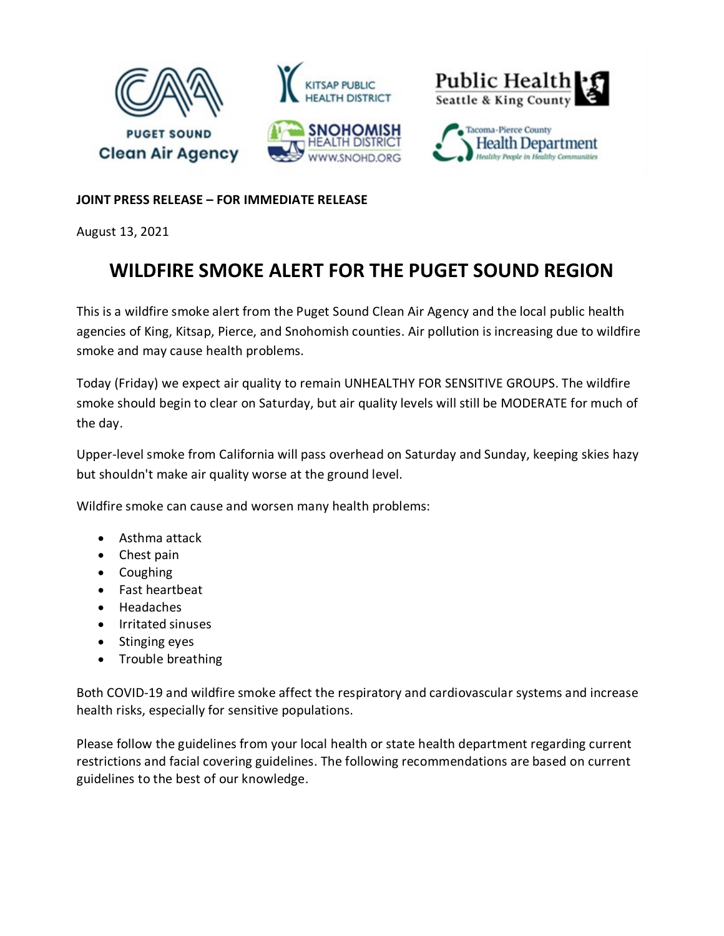

## **JOINT PRESS RELEASE – FOR IMMEDIATE RELEASE**

August 13, 2021

## **WILDFIRE SMOKE ALERT FOR THE PUGET SOUND REGION**

This is a wildfire smoke alert from the Puget Sound Clean Air Agency and the local public health agencies of King, Kitsap, Pierce, and Snohomish counties. Air pollution is increasing due to wildfire smoke and may cause health problems.

Today (Friday) we expect air quality to remain UNHEALTHY FOR SENSITIVE GROUPS. The wildfire smoke should begin to clear on Saturday, but air quality levels will still be MODERATE for much of the day.

Upper-level smoke from California will pass overhead on Saturday and Sunday, keeping skies hazy but shouldn't make air quality worse at the ground level.

Wildfire smoke can cause and worsen many health problems:

- Asthma attack
- Chest pain
- Coughing
- Fast heartbeat
- Headaches
- Irritated sinuses
- Stinging eyes
- Trouble breathing

Both COVID-19 and wildfire smoke affect the respiratory and cardiovascular systems and increase health risks, especially for sensitive populations.

Please follow the guidelines from your local health or state health department regarding current restrictions and facial covering guidelines. The following recommendations are based on current guidelines to the best of our knowledge.